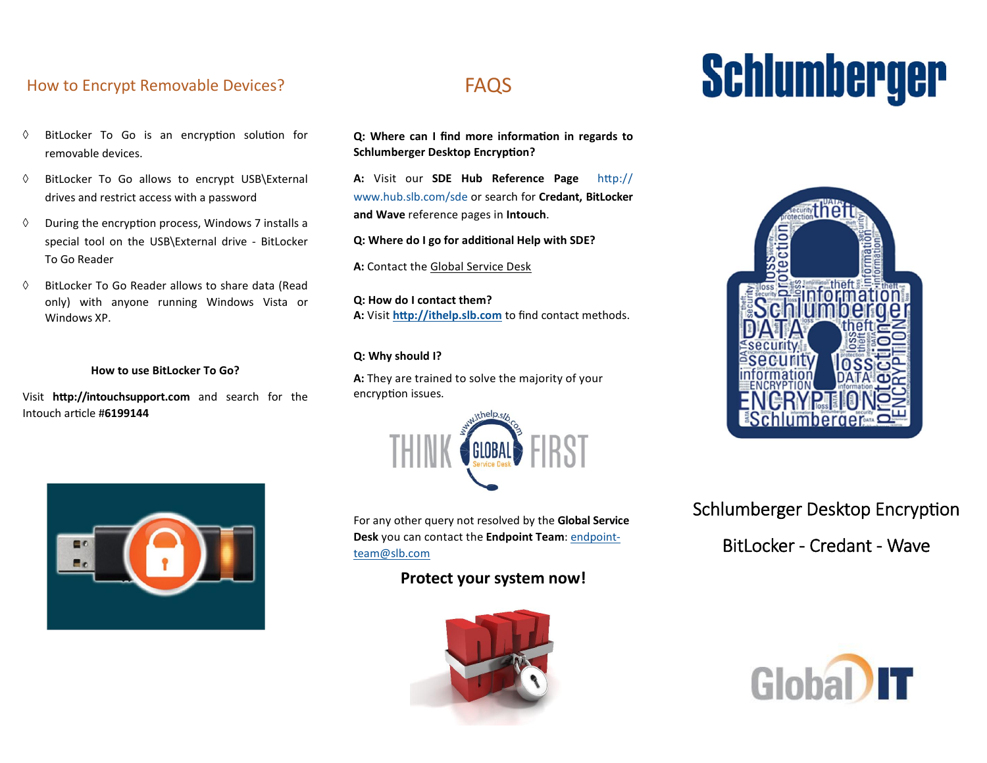## How to Encrypt Removable Devices? FAQS

- $\Diamond$  BitLocker To Go is an encryption solution for removable devices.
- BitLocker To Go allows to encrypt USB\External drives and restrict access with a password
- $\Diamond$  During the encryption process, Windows 7 installs a special tool on the USB\External drive - BitLocker To Go Reader
- $\Diamond$  BitLocker To Go Reader allows to share data (Read only) with anyone running Windows Vista or Windows XP.

#### How to use BitLocker To Go?

Visit http://intouchsupport.com and search for the Intouch article #6199144



Q: Where can I find more information in regards to Schlumberger Desktop Encryption?

A: Visit our SDE Hub Reference Page http:// www.hub.slb.com/sde or search for Credant, BitLocker and Wave reference pages in Intouch.

Q: Where do I go for additional Help with SDE?

A: Contact the Global Service Desk

Q: How do I contact them? A: Visit http://ithelp.slb.com to find contact methods.

#### Q: Why should I?

A: They are trained to solve the majority of your encryption issues.



For any other query not resolved by the Global Service Desk you can contact the Endpoint Team: endpointteam@slb.com

### Protect your system now!



# Schlumberger



# Schlumberger Desktop Encryption BitLocker - Credant - Wave